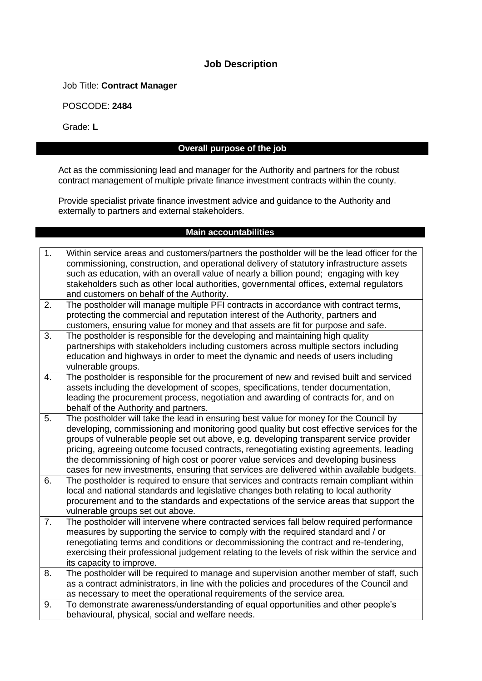#### **Job Description**

Job Title: **Contract Manager**

POSCODE: **2484**

Grade: **L**

# **Overall purpose of the job**

Act as the commissioning lead and manager for the Authority and partners for the robust contract management of multiple private finance investment contracts within the county.

Provide specialist private finance investment advice and guidance to the Authority and externally to partners and external stakeholders.

#### **Main accountabilities**

| 1. | Within service areas and customers/partners the postholder will be the lead officer for the<br>commissioning, construction, and operational delivery of statutory infrastructure assets<br>such as education, with an overall value of nearly a billion pound; engaging with key<br>stakeholders such as other local authorities, governmental offices, external regulators<br>and customers on behalf of the Authority.                                                                                                                                   |
|----|------------------------------------------------------------------------------------------------------------------------------------------------------------------------------------------------------------------------------------------------------------------------------------------------------------------------------------------------------------------------------------------------------------------------------------------------------------------------------------------------------------------------------------------------------------|
| 2. | The postholder will manage multiple PFI contracts in accordance with contract terms,<br>protecting the commercial and reputation interest of the Authority, partners and<br>customers, ensuring value for money and that assets are fit for purpose and safe.                                                                                                                                                                                                                                                                                              |
| 3. | The postholder is responsible for the developing and maintaining high quality<br>partnerships with stakeholders including customers across multiple sectors including<br>education and highways in order to meet the dynamic and needs of users including<br>vulnerable groups.                                                                                                                                                                                                                                                                            |
| 4. | The postholder is responsible for the procurement of new and revised built and serviced<br>assets including the development of scopes, specifications, tender documentation,<br>leading the procurement process, negotiation and awarding of contracts for, and on<br>behalf of the Authority and partners.                                                                                                                                                                                                                                                |
| 5. | The postholder will take the lead in ensuring best value for money for the Council by<br>developing, commissioning and monitoring good quality but cost effective services for the<br>groups of vulnerable people set out above, e.g. developing transparent service provider<br>pricing, agreeing outcome focused contracts, renegotiating existing agreements, leading<br>the decommissioning of high cost or poorer value services and developing business<br>cases for new investments, ensuring that services are delivered within available budgets. |
| 6. | The postholder is required to ensure that services and contracts remain compliant within<br>local and national standards and legislative changes both relating to local authority<br>procurement and to the standards and expectations of the service areas that support the<br>vulnerable groups set out above.                                                                                                                                                                                                                                           |
| 7. | The postholder will intervene where contracted services fall below required performance<br>measures by supporting the service to comply with the required standard and / or<br>renegotiating terms and conditions or decommissioning the contract and re-tendering,<br>exercising their professional judgement relating to the levels of risk within the service and<br>its capacity to improve.                                                                                                                                                           |
| 8. | The postholder will be required to manage and supervision another member of staff, such<br>as a contract administrators, in line with the policies and procedures of the Council and<br>as necessary to meet the operational requirements of the service area.                                                                                                                                                                                                                                                                                             |
| 9. | To demonstrate awareness/understanding of equal opportunities and other people's<br>behavioural, physical, social and welfare needs.                                                                                                                                                                                                                                                                                                                                                                                                                       |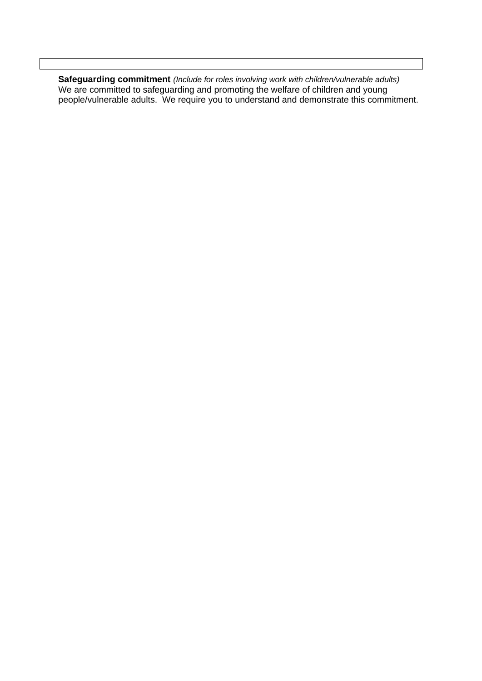**Safeguarding commitment** *(Include for roles involving work with children/vulnerable adults)* We are committed to safeguarding and promoting the welfare of children and young people/vulnerable adults. We require you to understand and demonstrate this commitment.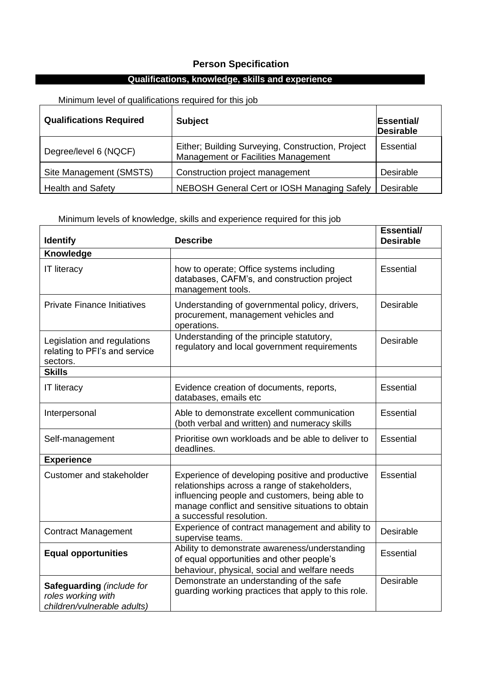## **Person Specification**

## **Qualifications, knowledge, skills and experience**

Minimum level of qualifications required for this job

| <b>Qualifications Required</b> | <b>Subject</b>                                                                           | Essential/<br><b>Desirable</b> |
|--------------------------------|------------------------------------------------------------------------------------------|--------------------------------|
| Degree/level 6 (NQCF)          | Either; Building Surveying, Construction, Project<br>Management or Facilities Management | Essential                      |
| Site Management (SMSTS)        | Construction project management                                                          | Desirable                      |
| <b>Health and Safety</b>       | NEBOSH General Cert or IOSH Managing Safely                                              | <b>Desirable</b>               |

Minimum levels of knowledge, skills and experience required for this job

| <b>Identify</b>                                                                | <b>Describe</b>                                                                                                                                                                                                                        | <b>Essential/</b><br><b>Desirable</b> |  |
|--------------------------------------------------------------------------------|----------------------------------------------------------------------------------------------------------------------------------------------------------------------------------------------------------------------------------------|---------------------------------------|--|
| Knowledge                                                                      |                                                                                                                                                                                                                                        |                                       |  |
| <b>IT literacy</b>                                                             | how to operate; Office systems including<br>databases, CAFM's, and construction project<br>management tools.                                                                                                                           | <b>Essential</b>                      |  |
| <b>Private Finance Initiatives</b>                                             | Understanding of governmental policy, drivers,<br>procurement, management vehicles and<br>operations.                                                                                                                                  | Desirable                             |  |
| Legislation and regulations<br>relating to PFI's and service<br>sectors.       | Understanding of the principle statutory,<br>regulatory and local government requirements                                                                                                                                              | <b>Desirable</b>                      |  |
| <b>Skills</b>                                                                  |                                                                                                                                                                                                                                        |                                       |  |
| <b>IT literacy</b>                                                             | Evidence creation of documents, reports,<br>databases, emails etc                                                                                                                                                                      | <b>Essential</b>                      |  |
| Interpersonal                                                                  | Able to demonstrate excellent communication<br>(both verbal and written) and numeracy skills                                                                                                                                           | Essential                             |  |
| Self-management                                                                | Prioritise own workloads and be able to deliver to<br>deadlines.                                                                                                                                                                       | <b>Essential</b>                      |  |
| <b>Experience</b>                                                              |                                                                                                                                                                                                                                        |                                       |  |
| Customer and stakeholder                                                       | Experience of developing positive and productive<br>relationships across a range of stakeholders,<br>influencing people and customers, being able to<br>manage conflict and sensitive situations to obtain<br>a successful resolution. | Essential                             |  |
| <b>Contract Management</b>                                                     | Experience of contract management and ability to<br>supervise teams.                                                                                                                                                                   | Desirable                             |  |
| <b>Equal opportunities</b>                                                     | Ability to demonstrate awareness/understanding<br>of equal opportunities and other people's<br>behaviour, physical, social and welfare needs                                                                                           | Essential                             |  |
| Safeguarding (include for<br>roles working with<br>children/vulnerable adults) | Demonstrate an understanding of the safe<br>guarding working practices that apply to this role.                                                                                                                                        | Desirable                             |  |